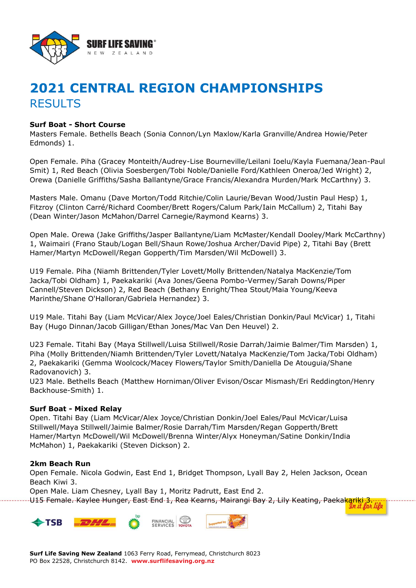

# **2021 CENTRAL REGION CHAMPIONSHIPS RESULTS**

## **Surf Boat - Short Course**

Masters Female. Bethells Beach (Sonia Connon/Lyn Maxlow/Karla Granville/Andrea Howie/Peter Edmonds) 1.

Open Female. Piha (Gracey Monteith/Audrey-Lise Bourneville/Leilani Ioelu/Kayla Fuemana/Jean-Paul Smit) 1, Red Beach (Olivia Soesbergen/Tobi Noble/Danielle Ford/Kathleen Oneroa/Jed Wright) 2, Orewa (Danielle Griffiths/Sasha Ballantyne/Grace Francis/Alexandra Murden/Mark McCarthny) 3.

Masters Male. Omanu (Dave Morton/Todd Ritchie/Colin Laurie/Bevan Wood/Justin Paul Hesp) 1, Fitzroy (Clinton Carré/Richard Coomber/Brett Rogers/Calum Park/Iain McCallum) 2, Titahi Bay (Dean Winter/Jason McMahon/Darrel Carnegie/Raymond Kearns) 3.

Open Male. Orewa (Jake Griffiths/Jasper Ballantyne/Liam McMaster/Kendall Dooley/Mark McCarthny) 1, Waimairi (Frano Staub/Logan Bell/Shaun Rowe/Joshua Archer/David Pipe) 2, Titahi Bay (Brett Hamer/Martyn McDowell/Regan Gopperth/Tim Marsden/Wil McDowell) 3.

U19 Female. Piha (Niamh Brittenden/Tyler Lovett/Molly Brittenden/Natalya MacKenzie/Tom Jacka/Tobi Oldham) 1, Paekakariki (Ava Jones/Geena Pombo-Vermey/Sarah Downs/Piper Cannell/Steven Dickson) 2, Red Beach (Bethany Enright/Thea Stout/Maia Young/Keeva Marinthe/Shane O'Halloran/Gabriela Hernandez) 3.

U19 Male. Titahi Bay (Liam McVicar/Alex Joyce/Joel Eales/Christian Donkin/Paul McVicar) 1, Titahi Bay (Hugo Dinnan/Jacob Gilligan/Ethan Jones/Mac Van Den Heuvel) 2.

U23 Female. Titahi Bay (Maya Stillwell/Luisa Stillwell/Rosie Darrah/Jaimie Balmer/Tim Marsden) 1, Piha (Molly Brittenden/Niamh Brittenden/Tyler Lovett/Natalya MacKenzie/Tom Jacka/Tobi Oldham) 2, Paekakariki (Gemma Woolcock/Macey Flowers/Taylor Smith/Daniella De Atouguia/Shane Radovanovich) 3.

U23 Male. Bethells Beach (Matthew Horniman/Oliver Evison/Oscar Mismash/Eri Reddington/Henry Backhouse-Smith) 1.

## **Surf Boat - Mixed Relay**

Open. Titahi Bay (Liam McVicar/Alex Joyce/Christian Donkin/Joel Eales/Paul McVicar/Luisa Stillwell/Maya Stillwell/Jaimie Balmer/Rosie Darrah/Tim Marsden/Regan Gopperth/Brett Hamer/Martyn McDowell/Wil McDowell/Brenna Winter/Alyx Honeyman/Satine Donkin/India McMahon) 1, Paekakariki (Steven Dickson) 2.

#### **2km Beach Run**

Open Female. Nicola Godwin, East End 1, Bridget Thompson, Lyall Bay 2, Helen Jackson, Ocean Beach Kiwi 3.

Open Male. Liam Chesney, Lyall Bay 1, Moritz Padrutt, East End 2. U15 Female. Kaylee Hunger, East End 1, Rea Kearns, Mairangi Bay 2, Lily Keating, Paeka<mark>kariki, 3</mark>

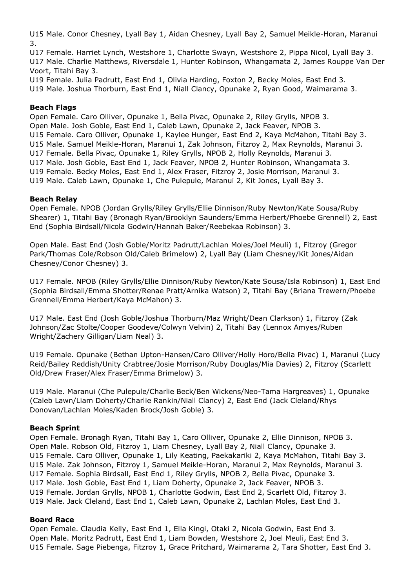U15 Male. Conor Chesney, Lyall Bay 1, Aidan Chesney, Lyall Bay 2, Samuel Meikle-Horan, Maranui 3.

U17 Female. Harriet Lynch, Westshore 1, Charlotte Swayn, Westshore 2, Pippa Nicol, Lyall Bay 3. U17 Male. Charlie Matthews, Riversdale 1, Hunter Robinson, Whangamata 2, James Rouppe Van Der Voort, Titahi Bay 3.

U19 Female. Julia Padrutt, East End 1, Olivia Harding, Foxton 2, Becky Moles, East End 3.

## U19 Male. Joshua Thorburn, East End 1, Niall Clancy, Opunake 2, Ryan Good, Waimarama 3.

## **Beach Flags**

Open Female. Caro Olliver, Opunake 1, Bella Pivac, Opunake 2, Riley Grylls, NPOB 3. Open Male. Josh Goble, East End 1, Caleb Lawn, Opunake 2, Jack Feaver, NPOB 3. U15 Female. Caro Olliver, Opunake 1, Kaylee Hunger, East End 2, Kaya McMahon, Titahi Bay 3. U15 Male. Samuel Meikle-Horan, Maranui 1, Zak Johnson, Fitzroy 2, Max Reynolds, Maranui 3. U17 Female. Bella Pivac, Opunake 1, Riley Grylls, NPOB 2, Holly Reynolds, Maranui 3. U17 Male. Josh Goble, East End 1, Jack Feaver, NPOB 2, Hunter Robinson, Whangamata 3. U19 Female. Becky Moles, East End 1, Alex Fraser, Fitzroy 2, Josie Morrison, Maranui 3. U19 Male. Caleb Lawn, Opunake 1, Che Pulepule, Maranui 2, Kit Jones, Lyall Bay 3.

## **Beach Relay**

Open Female. NPOB (Jordan Grylls/Riley Grylls/Ellie Dinnison/Ruby Newton/Kate Sousa/Ruby Shearer) 1, Titahi Bay (Bronagh Ryan/Brooklyn Saunders/Emma Herbert/Phoebe Grennell) 2, East End (Sophia Birdsall/Nicola Godwin/Hannah Baker/Reebekaa Robinson) 3.

Open Male. East End (Josh Goble/Moritz Padrutt/Lachlan Moles/Joel Meuli) 1, Fitzroy (Gregor Park/Thomas Cole/Robson Old/Caleb Brimelow) 2, Lyall Bay (Liam Chesney/Kit Jones/Aidan Chesney/Conor Chesney) 3.

U17 Female. NPOB (Riley Grylls/Ellie Dinnison/Ruby Newton/Kate Sousa/Isla Robinson) 1, East End (Sophia Birdsall/Emma Shotter/Renae Pratt/Arnika Watson) 2, Titahi Bay (Briana Trewern/Phoebe Grennell/Emma Herbert/Kaya McMahon) 3.

U17 Male. East End (Josh Goble/Joshua Thorburn/Maz Wright/Dean Clarkson) 1, Fitzroy (Zak Johnson/Zac Stolte/Cooper Goodeve/Colwyn Velvin) 2, Titahi Bay (Lennox Amyes/Ruben Wright/Zachery Gilligan/Liam Neal) 3.

U19 Female. Opunake (Bethan Upton-Hansen/Caro Olliver/Holly Horo/Bella Pivac) 1, Maranui (Lucy Reid/Bailey Reddish/Unity Crabtree/Josie Morrison/Ruby Douglas/Mia Davies) 2, Fitzroy (Scarlett Old/Drew Fraser/Alex Fraser/Emma Brimelow) 3.

U19 Male. Maranui (Che Pulepule/Charlie Beck/Ben Wickens/Neo-Tama Hargreaves) 1, Opunake (Caleb Lawn/Liam Doherty/Charlie Rankin/Niall Clancy) 2, East End (Jack Cleland/Rhys Donovan/Lachlan Moles/Kaden Brock/Josh Goble) 3.

## **Beach Sprint**

Open Female. Bronagh Ryan, Titahi Bay 1, Caro Olliver, Opunake 2, Ellie Dinnison, NPOB 3. Open Male. Robson Old, Fitzroy 1, Liam Chesney, Lyall Bay 2, Niall Clancy, Opunake 3. U15 Female. Caro Olliver, Opunake 1, Lily Keating, Paekakariki 2, Kaya McMahon, Titahi Bay 3. U15 Male. Zak Johnson, Fitzroy 1, Samuel Meikle-Horan, Maranui 2, Max Reynolds, Maranui 3. U17 Female. Sophia Birdsall, East End 1, Riley Grylls, NPOB 2, Bella Pivac, Opunake 3. U17 Male. Josh Goble, East End 1, Liam Doherty, Opunake 2, Jack Feaver, NPOB 3. U19 Female. Jordan Grylls, NPOB 1, Charlotte Godwin, East End 2, Scarlett Old, Fitzroy 3. U19 Male. Jack Cleland, East End 1, Caleb Lawn, Opunake 2, Lachlan Moles, East End 3.

## **Board Race**

Open Female. Claudia Kelly, East End 1, Ella Kingi, Otaki 2, Nicola Godwin, East End 3. Open Male. Moritz Padrutt, East End 1, Liam Bowden, Westshore 2, Joel Meuli, East End 3. U15 Female. Sage Piebenga, Fitzroy 1, Grace Pritchard, Waimarama 2, Tara Shotter, East End 3.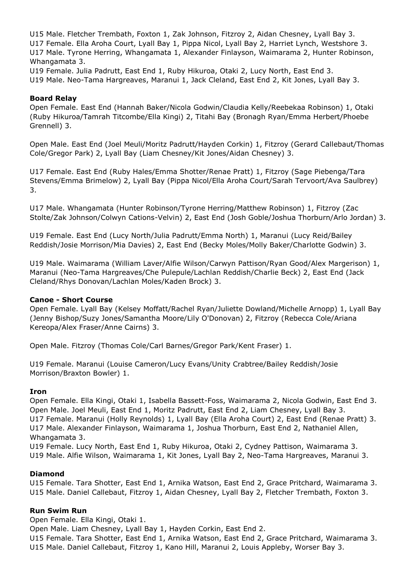U15 Male. Fletcher Trembath, Foxton 1, Zak Johnson, Fitzroy 2, Aidan Chesney, Lyall Bay 3. U17 Female. Ella Aroha Court, Lyall Bay 1, Pippa Nicol, Lyall Bay 2, Harriet Lynch, Westshore 3. U17 Male. Tyrone Herring, Whangamata 1, Alexander Finlayson, Waimarama 2, Hunter Robinson, Whangamata 3.

U19 Female. Julia Padrutt, East End 1, Ruby Hikuroa, Otaki 2, Lucy North, East End 3. U19 Male. Neo-Tama Hargreaves, Maranui 1, Jack Cleland, East End 2, Kit Jones, Lyall Bay 3.

#### **Board Relay**

Open Female. East End (Hannah Baker/Nicola Godwin/Claudia Kelly/Reebekaa Robinson) 1, Otaki (Ruby Hikuroa/Tamrah Titcombe/Ella Kingi) 2, Titahi Bay (Bronagh Ryan/Emma Herbert/Phoebe Grennell) 3.

Open Male. East End (Joel Meuli/Moritz Padrutt/Hayden Corkin) 1, Fitzroy (Gerard Callebaut/Thomas Cole/Gregor Park) 2, Lyall Bay (Liam Chesney/Kit Jones/Aidan Chesney) 3.

U17 Female. East End (Ruby Hales/Emma Shotter/Renae Pratt) 1, Fitzroy (Sage Piebenga/Tara Stevens/Emma Brimelow) 2, Lyall Bay (Pippa Nicol/Ella Aroha Court/Sarah Tervoort/Ava Saulbrey) 3.

U17 Male. Whangamata (Hunter Robinson/Tyrone Herring/Matthew Robinson) 1, Fitzroy (Zac Stolte/Zak Johnson/Colwyn Cations-Velvin) 2, East End (Josh Goble/Joshua Thorburn/Arlo Jordan) 3.

U19 Female. East End (Lucy North/Julia Padrutt/Emma North) 1, Maranui (Lucy Reid/Bailey Reddish/Josie Morrison/Mia Davies) 2, East End (Becky Moles/Molly Baker/Charlotte Godwin) 3.

U19 Male. Waimarama (William Laver/Alfie Wilson/Carwyn Pattison/Ryan Good/Alex Margerison) 1, Maranui (Neo-Tama Hargreaves/Che Pulepule/Lachlan Reddish/Charlie Beck) 2, East End (Jack Cleland/Rhys Donovan/Lachlan Moles/Kaden Brock) 3.

#### **Canoe - Short Course**

Open Female. Lyall Bay (Kelsey Moffatt/Rachel Ryan/Juliette Dowland/Michelle Arnopp) 1, Lyall Bay (Jenny Bishop/Suzy Jones/Samantha Moore/Lily O'Donovan) 2, Fitzroy (Rebecca Cole/Ariana Kereopa/Alex Fraser/Anne Cairns) 3.

Open Male. Fitzroy (Thomas Cole/Carl Barnes/Gregor Park/Kent Fraser) 1.

U19 Female. Maranui (Louise Cameron/Lucy Evans/Unity Crabtree/Bailey Reddish/Josie Morrison/Braxton Bowler) 1.

#### **Iron**

Open Female. Ella Kingi, Otaki 1, Isabella Bassett-Foss, Waimarama 2, Nicola Godwin, East End 3. Open Male. Joel Meuli, East End 1, Moritz Padrutt, East End 2, Liam Chesney, Lyall Bay 3. U17 Female. Maranui (Holly Reynolds) 1, Lyall Bay (Ella Aroha Court) 2, East End (Renae Pratt) 3. U17 Male. Alexander Finlayson, Waimarama 1, Joshua Thorburn, East End 2, Nathaniel Allen, Whangamata 3.

U19 Female. Lucy North, East End 1, Ruby Hikuroa, Otaki 2, Cydney Pattison, Waimarama 3. U19 Male. Alfie Wilson, Waimarama 1, Kit Jones, Lyall Bay 2, Neo-Tama Hargreaves, Maranui 3.

#### **Diamond**

U15 Female. Tara Shotter, East End 1, Arnika Watson, East End 2, Grace Pritchard, Waimarama 3. U15 Male. Daniel Callebaut, Fitzroy 1, Aidan Chesney, Lyall Bay 2, Fletcher Trembath, Foxton 3.

## **Run Swim Run**

Open Female. Ella Kingi, Otaki 1.

Open Male. Liam Chesney, Lyall Bay 1, Hayden Corkin, East End 2.

U15 Female. Tara Shotter, East End 1, Arnika Watson, East End 2, Grace Pritchard, Waimarama 3. U15 Male. Daniel Callebaut, Fitzroy 1, Kano Hill, Maranui 2, Louis Appleby, Worser Bay 3.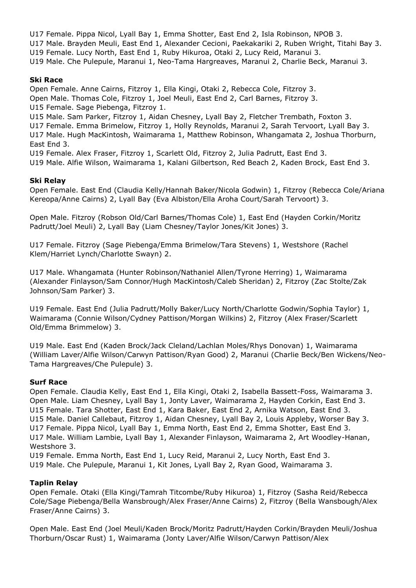U17 Female. Pippa Nicol, Lyall Bay 1, Emma Shotter, East End 2, Isla Robinson, NPOB 3. U17 Male. Brayden Meuli, East End 1, Alexander Cecioni, Paekakariki 2, Ruben Wright, Titahi Bay 3. U19 Female. Lucy North, East End 1, Ruby Hikuroa, Otaki 2, Lucy Reid, Maranui 3. U19 Male. Che Pulepule, Maranui 1, Neo-Tama Hargreaves, Maranui 2, Charlie Beck, Maranui 3.

## **Ski Race**

Open Female. Anne Cairns, Fitzroy 1, Ella Kingi, Otaki 2, Rebecca Cole, Fitzroy 3. Open Male. Thomas Cole, Fitzroy 1, Joel Meuli, East End 2, Carl Barnes, Fitzroy 3. U15 Female. Sage Piebenga, Fitzroy 1.

U15 Male. Sam Parker, Fitzroy 1, Aidan Chesney, Lyall Bay 2, Fletcher Trembath, Foxton 3.

U17 Female. Emma Brimelow, Fitzroy 1, Holly Reynolds, Maranui 2, Sarah Tervoort, Lyall Bay 3.

U17 Male. Hugh MacKintosh, Waimarama 1, Matthew Robinson, Whangamata 2, Joshua Thorburn, East End 3.

U19 Female. Alex Fraser, Fitzroy 1, Scarlett Old, Fitzroy 2, Julia Padrutt, East End 3.

U19 Male. Alfie Wilson, Waimarama 1, Kalani Gilbertson, Red Beach 2, Kaden Brock, East End 3.

## **Ski Relay**

Open Female. East End (Claudia Kelly/Hannah Baker/Nicola Godwin) 1, Fitzroy (Rebecca Cole/Ariana Kereopa/Anne Cairns) 2, Lyall Bay (Eva Albiston/Ella Aroha Court/Sarah Tervoort) 3.

Open Male. Fitzroy (Robson Old/Carl Barnes/Thomas Cole) 1, East End (Hayden Corkin/Moritz Padrutt/Joel Meuli) 2, Lyall Bay (Liam Chesney/Taylor Jones/Kit Jones) 3.

U17 Female. Fitzroy (Sage Piebenga/Emma Brimelow/Tara Stevens) 1, Westshore (Rachel Klem/Harriet Lynch/Charlotte Swayn) 2.

U17 Male. Whangamata (Hunter Robinson/Nathaniel Allen/Tyrone Herring) 1, Waimarama (Alexander Finlayson/Sam Connor/Hugh MacKintosh/Caleb Sheridan) 2, Fitzroy (Zac Stolte/Zak Johnson/Sam Parker) 3.

U19 Female. East End (Julia Padrutt/Molly Baker/Lucy North/Charlotte Godwin/Sophia Taylor) 1, Waimarama (Connie Wilson/Cydney Pattison/Morgan Wilkins) 2, Fitzroy (Alex Fraser/Scarlett Old/Emma Brimmelow) 3.

U19 Male. East End (Kaden Brock/Jack Cleland/Lachlan Moles/Rhys Donovan) 1, Waimarama (William Laver/Alfie Wilson/Carwyn Pattison/Ryan Good) 2, Maranui (Charlie Beck/Ben Wickens/Neo-Tama Hargreaves/Che Pulepule) 3.

## **Surf Race**

Open Female. Claudia Kelly, East End 1, Ella Kingi, Otaki 2, Isabella Bassett-Foss, Waimarama 3. Open Male. Liam Chesney, Lyall Bay 1, Jonty Laver, Waimarama 2, Hayden Corkin, East End 3. U15 Female. Tara Shotter, East End 1, Kara Baker, East End 2, Arnika Watson, East End 3. U15 Male. Daniel Callebaut, Fitzroy 1, Aidan Chesney, Lyall Bay 2, Louis Appleby, Worser Bay 3. U17 Female. Pippa Nicol, Lyall Bay 1, Emma North, East End 2, Emma Shotter, East End 3. U17 Male. William Lambie, Lyall Bay 1, Alexander Finlayson, Waimarama 2, Art Woodley-Hanan, Westshore 3.

U19 Female. Emma North, East End 1, Lucy Reid, Maranui 2, Lucy North, East End 3. U19 Male. Che Pulepule, Maranui 1, Kit Jones, Lyall Bay 2, Ryan Good, Waimarama 3.

## **Taplin Relay**

Open Female. Otaki (Ella Kingi/Tamrah Titcombe/Ruby Hikuroa) 1, Fitzroy (Sasha Reid/Rebecca Cole/Sage Piebenga/Bella Wansbrough/Alex Fraser/Anne Cairns) 2, Fitzroy (Bella Wansbough/Alex Fraser/Anne Cairns) 3.

Open Male. East End (Joel Meuli/Kaden Brock/Moritz Padrutt/Hayden Corkin/Brayden Meuli/Joshua Thorburn/Oscar Rust) 1, Waimarama (Jonty Laver/Alfie Wilson/Carwyn Pattison/Alex